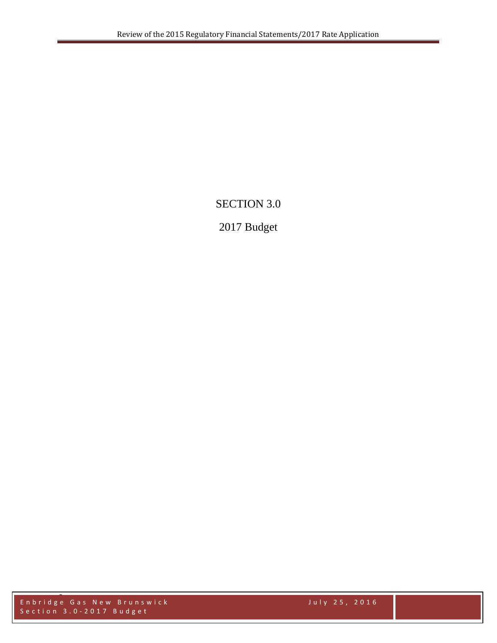# SECTION 3.0

# 2017 Budget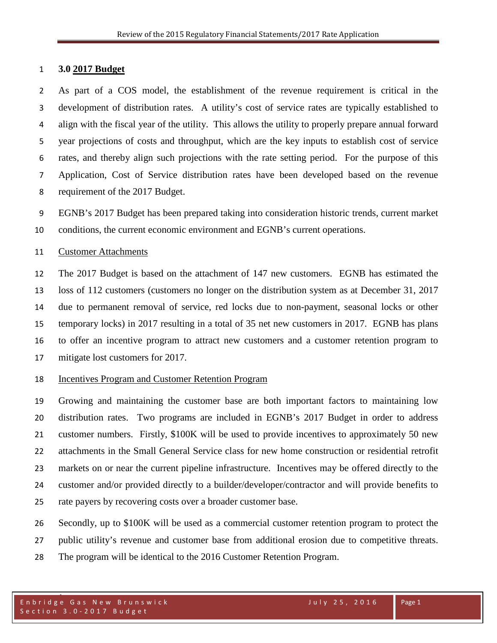#### **3.0 2017 Budget**

 As part of a COS model, the establishment of the revenue requirement is critical in the development of distribution rates. A utility's cost of service rates are typically established to align with the fiscal year of the utility. This allows the utility to properly prepare annual forward year projections of costs and throughput, which are the key inputs to establish cost of service rates, and thereby align such projections with the rate setting period. For the purpose of this Application, Cost of Service distribution rates have been developed based on the revenue requirement of the 2017 Budget.

 EGNB's 2017 Budget has been prepared taking into consideration historic trends, current market conditions, the current economic environment and EGNB's current operations.

#### Customer Attachments

 The 2017 Budget is based on the attachment of 147 new customers. EGNB has estimated the loss of 112 customers (customers no longer on the distribution system as at December 31, 2017 due to permanent removal of service, red locks due to non-payment, seasonal locks or other temporary locks) in 2017 resulting in a total of 35 net new customers in 2017. EGNB has plans to offer an incentive program to attract new customers and a customer retention program to mitigate lost customers for 2017.

### Incentives Program and Customer Retention Program

 Growing and maintaining the customer base are both important factors to maintaining low distribution rates. Two programs are included in EGNB's 2017 Budget in order to address customer numbers. Firstly, \$100K will be used to provide incentives to approximately 50 new attachments in the Small General Service class for new home construction or residential retrofit markets on or near the current pipeline infrastructure. Incentives may be offered directly to the customer and/or provided directly to a builder/developer/contractor and will provide benefits to rate payers by recovering costs over a broader customer base.

Secondly, up to \$100K will be used as a commercial customer retention program to protect the

public utility's revenue and customer base from additional erosion due to competitive threats.

The program will be identical to the 2016 Customer Retention Program.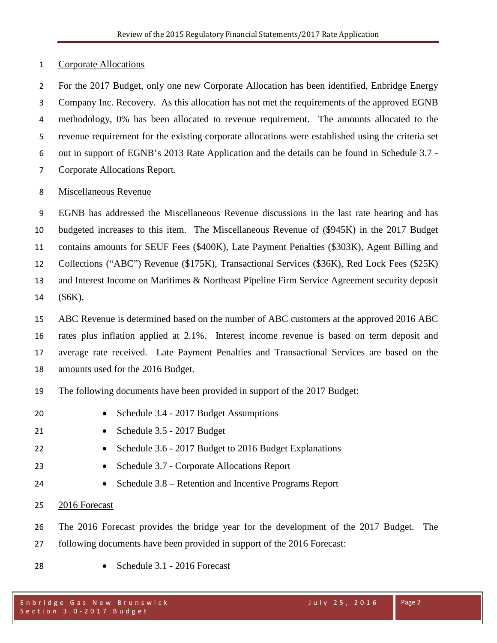Corporate Allocations

 For the 2017 Budget, only one new Corporate Allocation has been identified, Enbridge Energy Company Inc. Recovery. As this allocation has not met the requirements of the approved EGNB methodology, 0% has been allocated to revenue requirement. The amounts allocated to the revenue requirement for the existing corporate allocations were established using the criteria set out in support of EGNB's 2013 Rate Application and the details can be found in Schedule 3.7 - Corporate Allocations Report.

### Miscellaneous Revenue

 EGNB has addressed the Miscellaneous Revenue discussions in the last rate hearing and has budgeted increases to this item. The Miscellaneous Revenue of (\$945K) in the 2017 Budget contains amounts for SEUF Fees (\$400K), Late Payment Penalties (\$303K), Agent Billing and Collections ("ABC") Revenue (\$175K), Transactional Services (\$36K), Red Lock Fees (\$25K) and Interest Income on Maritimes & Northeast Pipeline Firm Service Agreement security deposit (\$6K).

 ABC Revenue is determined based on the number of ABC customers at the approved 2016 ABC rates plus inflation applied at 2.1%. Interest income revenue is based on term deposit and average rate received. Late Payment Penalties and Transactional Services are based on the amounts used for the 2016 Budget.

The following documents have been provided in support of the 2017 Budget:

- 20 Schedule 3.4 2017 Budget Assumptions
- Schedule 3.5 2017 Budget
- Schedule 3.6 2017 Budget to 2016 Budget Explanations
- Schedule 3.7 Corporate Allocations Report
- Schedule 3.8 Retention and Incentive Programs Report
- 2016 Forecast
- The 2016 Forecast provides the bridge year for the development of the 2017 Budget. The
- following documents have been provided in support of the 2016 Forecast:
- 
- Schedule 3.1 2016 Forecast